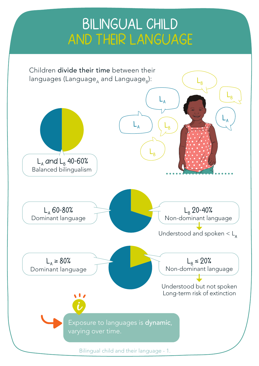## BILINGUAL CHILD AND THEIR LANGUAGE

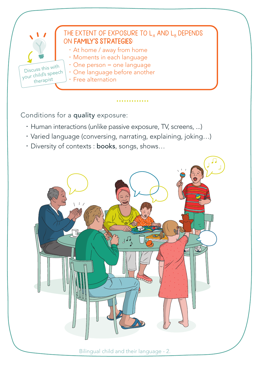

Conditions for a quality exposure:

- Human interactions (unlike passive exposure, TV, screens, ...)
- Varied language (conversing, narrating, explaining, joking…)

. . . . . . . . . . .

• Diversity of contexts : books, songs, shows…